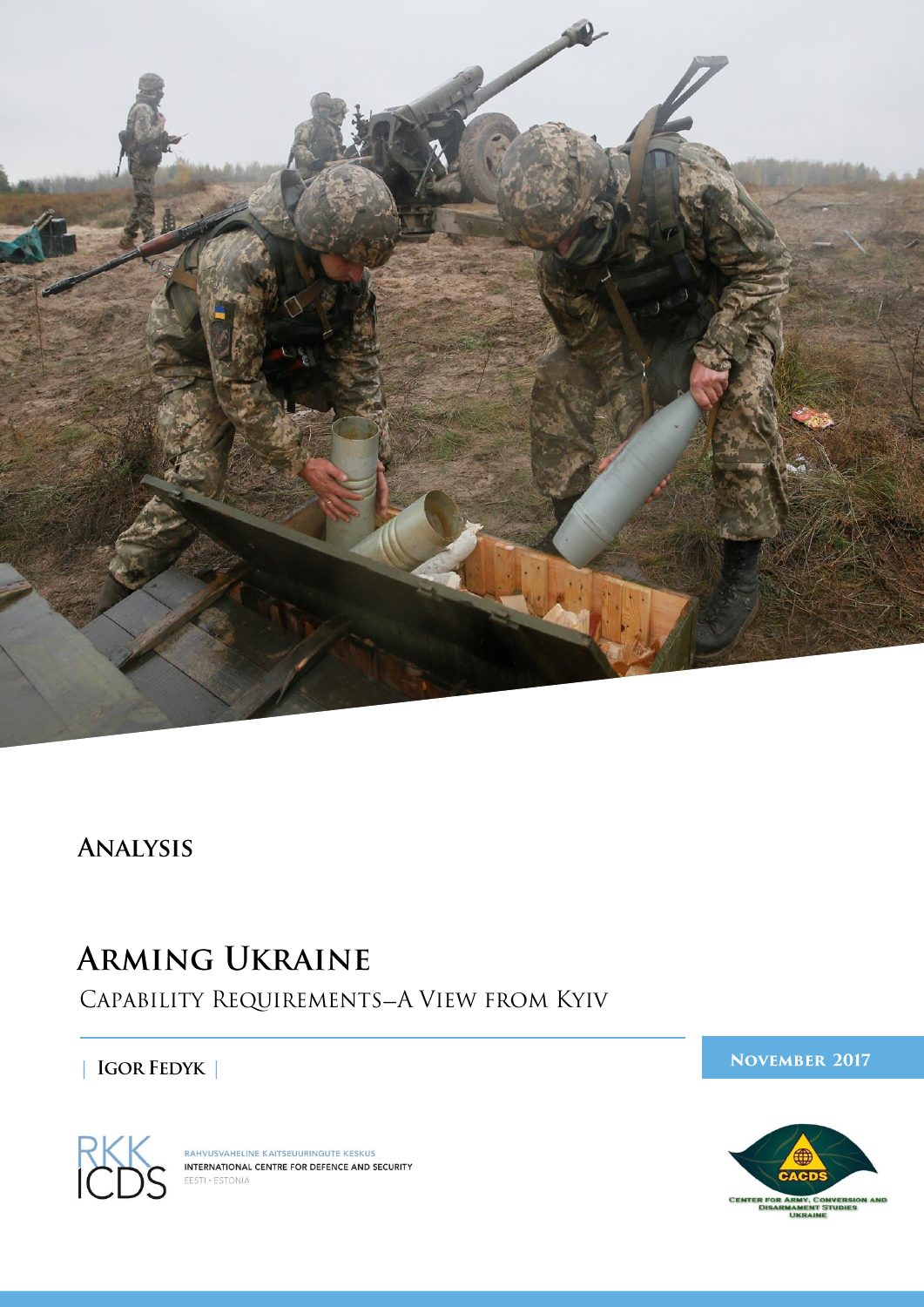

# **ANALYSIS**

# **ARMING UKRAINE**

CAPABILITY REQUIREMENTS-A VIEW FROM KYIV

 $|$  IGOR FEDYK  $|$ 





RAHVUSVAHELINE KAITSEUURINGUTE KESKUS<br>INTERNATIONAL CENTRE FOR DEFENCE AND SECURITY EESTI . ESTONIA

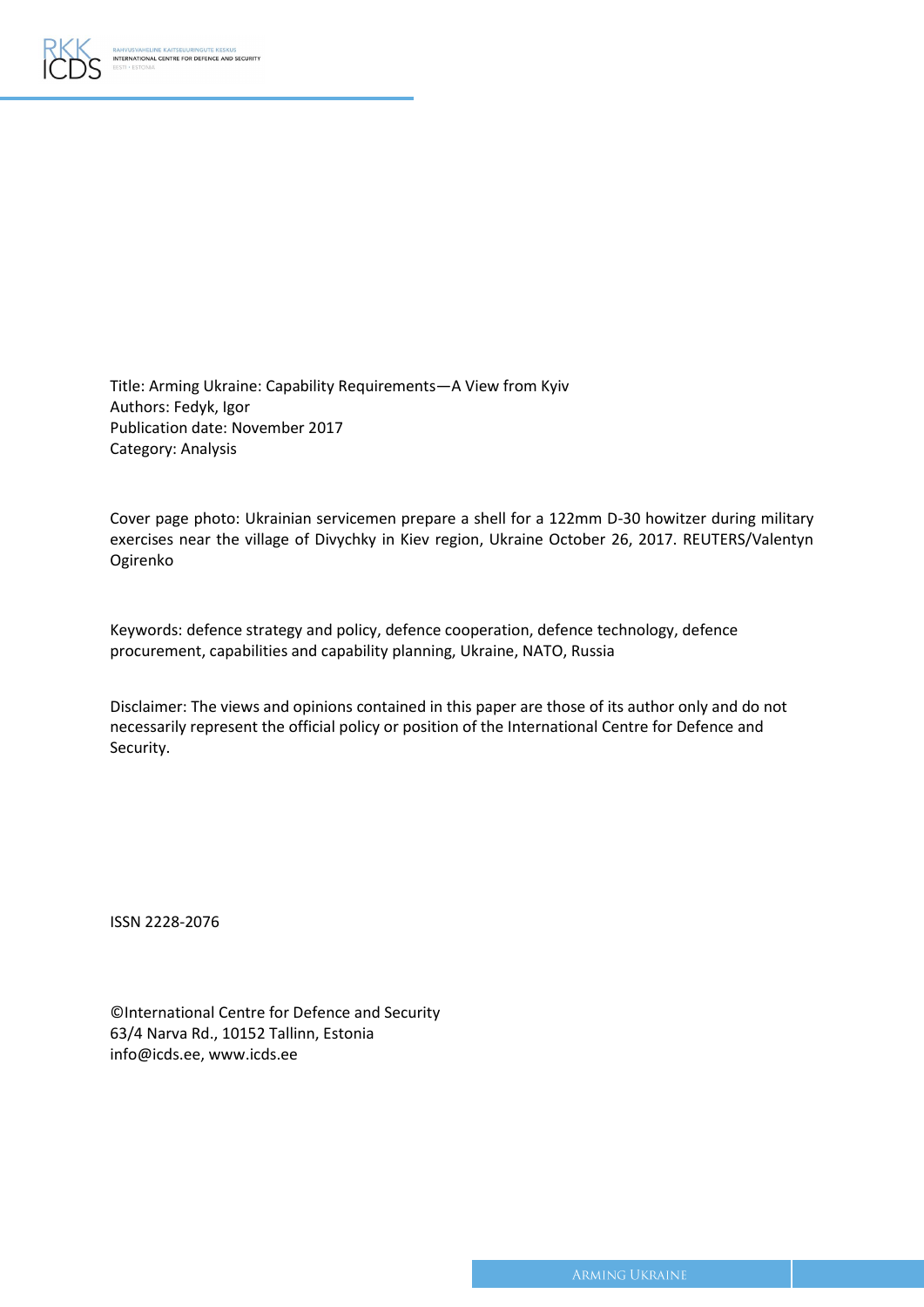

Title: Arming Ukraine: Capability Requirements—A View from Kyiv Authors: Fedyk, Igor Publication date: November 2017 Category: Analysis

Cover page photo: Ukrainian servicemen prepare a shell for a 122mm D-30 howitzer during military exercises near the village of Divychky in Kiev region, Ukraine October 26, 2017. REUTERS/Valentyn Ogirenko

Keywords: defence strategy and policy, defence cooperation, defence technology, defence procurement, capabilities and capability planning, Ukraine, NATO, Russia

Disclaimer: The views and opinions contained in this paper are those of its author only and do not necessarily represent the official policy or position of the International Centre for Defence and Security.

ISSN 2228-2076

| <b>CInternational Centre for Defence and Security</b> |
|-------------------------------------------------------|
| 63/4 Narva Rd., 10152 Tallinn, Estonia                |
| info@icds.ee, www.icds.ee                             |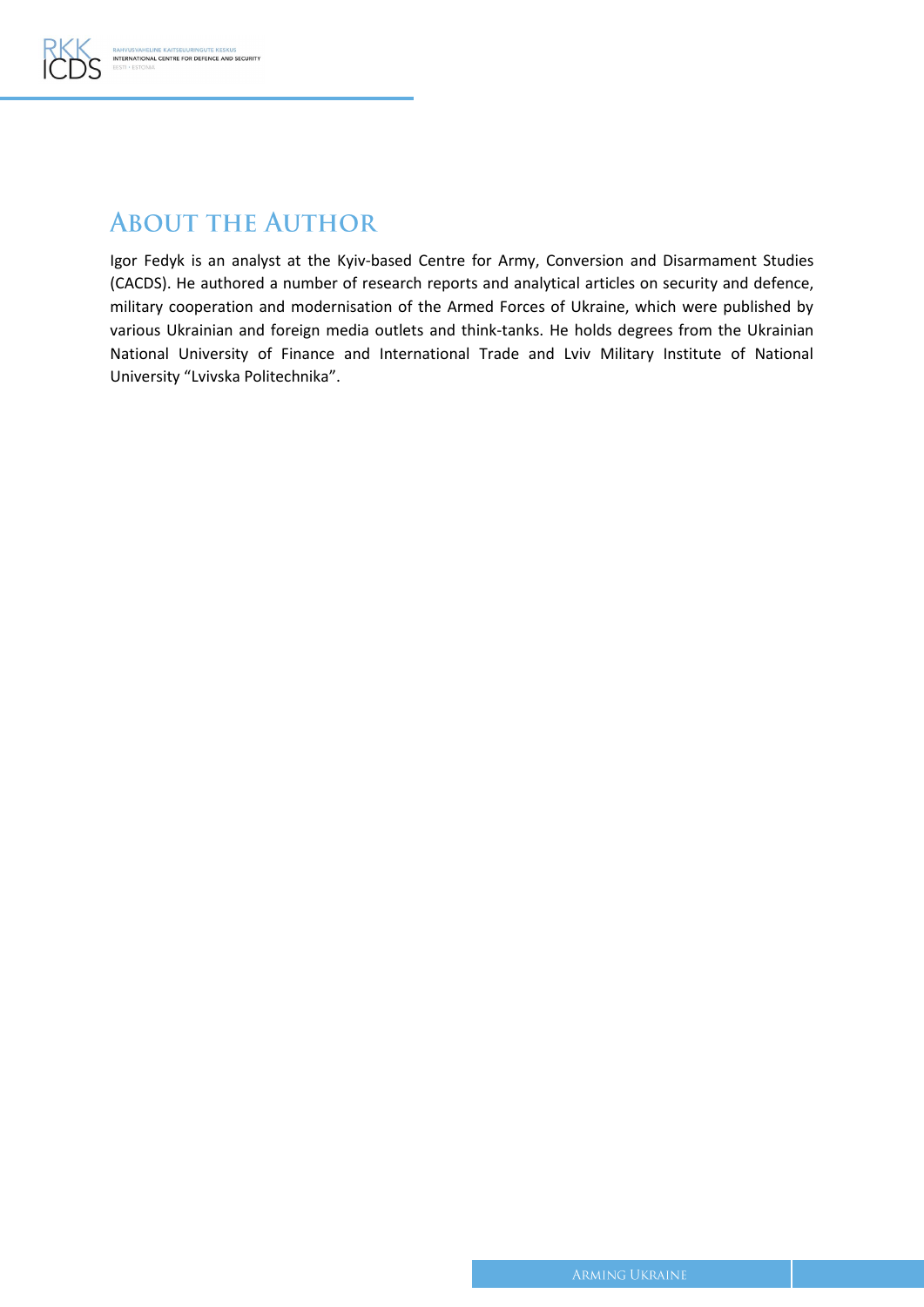

### **ABOUT THE AUTHOR**

Igor Fedyk is an analyst at the Kyiv-based Centre for Army, Conversion and Disarmament Studies (CACDS). He authored a number of research reports and analytical articles on security and defence, military cooperation and modernisation of the Armed Forces of Ukraine, which were published by various Ukrainian and foreign media outlets and think-tanks. He holds degrees from the Ukrainian National University of Finance and International Trade and Lviv Military Institute of National University "Lvivska Politechnika".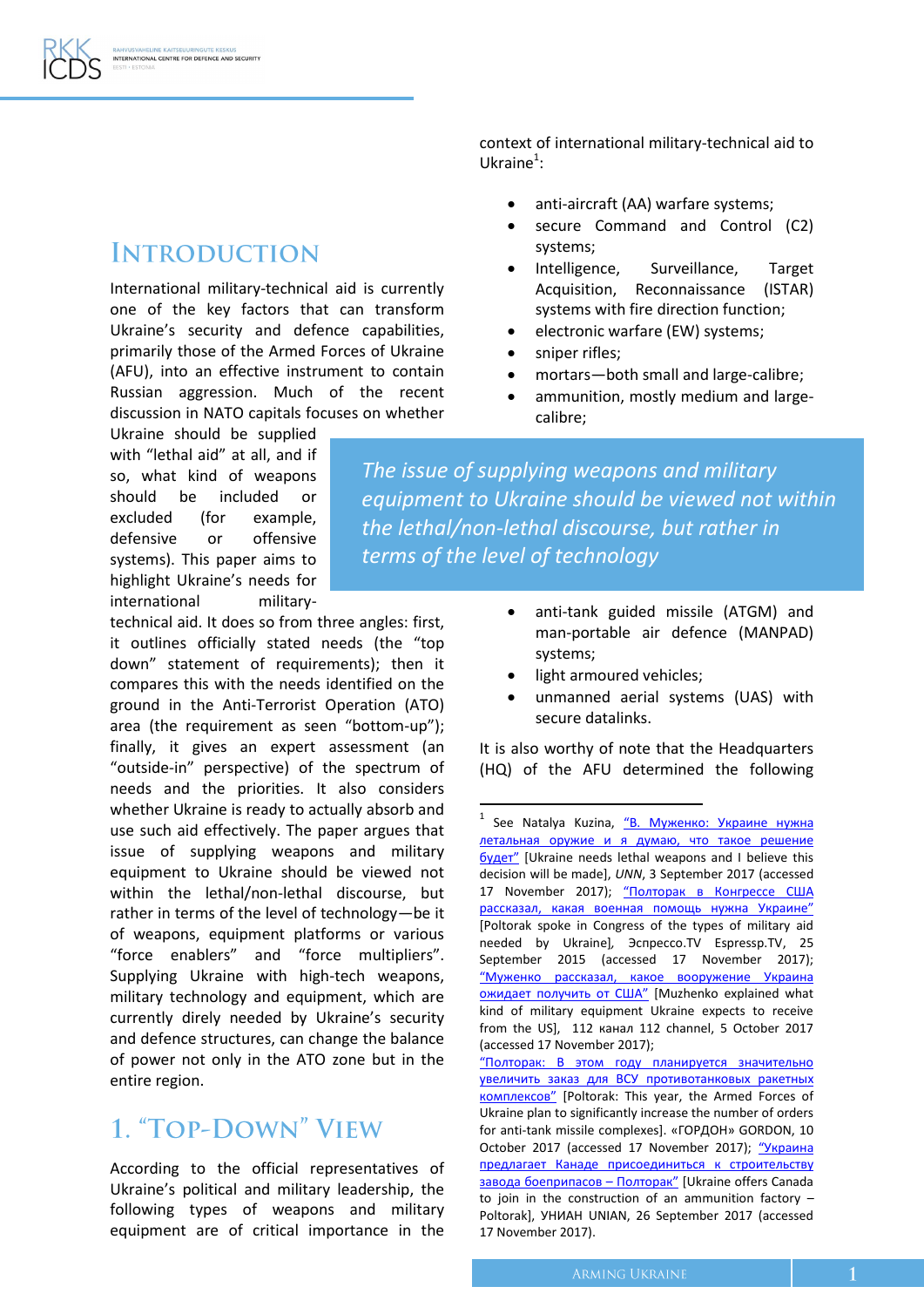# **INTRODUCTION**

International military-technical aid is currently one of the key factors that can transform Ukraine's security and defence capabilities, primarily those of the Armed Forces of Ukraine (AFU), into an effective instrument to contain Russian aggression. Much of the recent discussion in NATO capitals focuses on whether

Ukraine should be supplied with "lethal aid" at all, and if so, what kind of weapons should be included or excluded (for example, defensive or offensive systems). This paper aims to highlight Ukraine's needs for international military-

technical aid. It does so from three angles: first, it outlines officially stated needs (the "top down" statement of requirements); then it compares this with the needs identified on the ground in the Anti-Terrorist Operation (ATO) area (the requirement as seen "bottom-up"); finally, it gives an expert assessment (an "outside-in" perspective) of the spectrum of needs and the priorities. It also considers whether Ukraine is ready to actually absorb and use such aid effectively. The paper argues that issue of supplying weapons and military equipment to Ukraine should be viewed not within the lethal/non-lethal discourse, but rather in terms of the level of technology—be it of weapons, equipment platforms or various "force enablers" and "force multipliers". Supplying Ukraine with high-tech weapons, military technology and equipment, which are currently direly needed by Ukraine's security and defence structures, can change the balance of power not only in the АТО zone but in the entire region.

# 1. "TOP-DOWN" VIEW

According to the official representatives of Ukraine's political and military leadership, the following types of weapons and military equipment are of critical importance in the context of international military-technical aid to Ukraine $^1$ :

- anti-aircraft (AA) warfare systems;
- secure Command and Control (C2) systems;
- Intelligence, Surveillance, Target Acquisition, Reconnaissance (ISTAR) systems with fire direction function;
- electronic warfare (EW) systems;
- sniper rifles;
- mortars—both small and large-calibre;
- ammunition, mostly medium and largecalibre;

*The issue of supplying weapons and military equipment to Ukraine should be viewed not within the lethal/non-lethal discourse, but rather in terms of the level of technology*

- anti-tank guided missile (ATGM) and man-portable air defence (MANPAD) systems;
- light armoured vehicles:

**.** 

 unmanned aerial systems (UAS) with secure datalinks.

It is also worthy of note that the Headquarters (HQ) of the AFU determined the following

<sup>1</sup> See Natalya Kuzina, "В. Муженко: Украине нужна [летальная оружие и я думаю, что такое решение](http://www.unn.com.ua/ru/news/1690944-vmuzhenko-ukraini-potribna-letalna-zbroia-i-ia-dumaiu-shcho-take-rishennia-bude)  [будет"](http://www.unn.com.ua/ru/news/1690944-vmuzhenko-ukraini-potribna-letalna-zbroia-i-ia-dumaiu-shcho-take-rishennia-bude) [Ukraine needs lethal weapons and I believe this decision will be made], *UNN*, 3 September 2017 (accessed 17 November 2017); ["Полторак](https://ru.espreso.tv/news/2015/09/25/poltorak_v_kongresse_ssha_rasskazal_kakaya_voennaya_pomosch_nuzhna_ukrayne) в Конгрессе США [рассказал](https://ru.espreso.tv/news/2015/09/25/poltorak_v_kongresse_ssha_rasskazal_kakaya_voennaya_pomosch_nuzhna_ukrayne), какая военная помощь нужна Украине" [Poltorak spoke in Congress of the types of military aid needed by Ukraine]*,* Эспрессо.TV Espressp.TV, 25 September 2015 (accessed 17 November 2017); ["Муженко рассказал, какое вооружение Украина](https://112.ua/politika/muzhenko-rasskazal-kakoe-vooruzhenie-ukraina-ozhidaet-poluchit-ot-ssha-414619.html)  [ожидает получить от США"](https://112.ua/politika/muzhenko-rasskazal-kakoe-vooruzhenie-ukraina-ozhidaet-poluchit-ot-ssha-414619.html) [Muzhenko explained what kind of military equipment Ukraine expects to receive from the US], 112 канал 112 channel, 5 October 2017 (accessed 17 November 2017);

[<sup>&</sup>quot;Полторак: В этом году планируется значительно](http://gordonua.com/news/war/poltorak-v-etom-godu-planiruetsya-znachitelno-uvelichit-zakaz-dlya-vsu-protivotankovyh-raketnyh-kompleksov-211557.html)  [увеличить заказ для ВСУ противотанковых ракетных](http://gordonua.com/news/war/poltorak-v-etom-godu-planiruetsya-znachitelno-uvelichit-zakaz-dlya-vsu-protivotankovyh-raketnyh-kompleksov-211557.html)  [комплексов"](http://gordonua.com/news/war/poltorak-v-etom-godu-planiruetsya-znachitelno-uvelichit-zakaz-dlya-vsu-protivotankovyh-raketnyh-kompleksov-211557.html) [Poltorak: This year, the Armed Forces of Ukraine plan to significantly increase the number of orders for anti-tank missile complexes]. «ГОРДОН» GORDON, 10 October 2017 (accessed 17 November 2017); ["Украина](https://economics.unian.net/industry/2156211-ukraina-predlagaet-kanade-prisoedinitsya-k-stroitelstvu-zavoda-boepripasov-poltorak.html)  [предлагает Канаде присоединиться к строительству](https://economics.unian.net/industry/2156211-ukraina-predlagaet-kanade-prisoedinitsya-k-stroitelstvu-zavoda-boepripasov-poltorak.html)  [завода боеприпасов –](https://economics.unian.net/industry/2156211-ukraina-predlagaet-kanade-prisoedinitsya-k-stroitelstvu-zavoda-boepripasov-poltorak.html) Полторак" [Ukraine offers Canada to join in the construction of an ammunition factory – Poltorak], УНИАН UNIAN, 26 September 2017 (accessed 17 November 2017).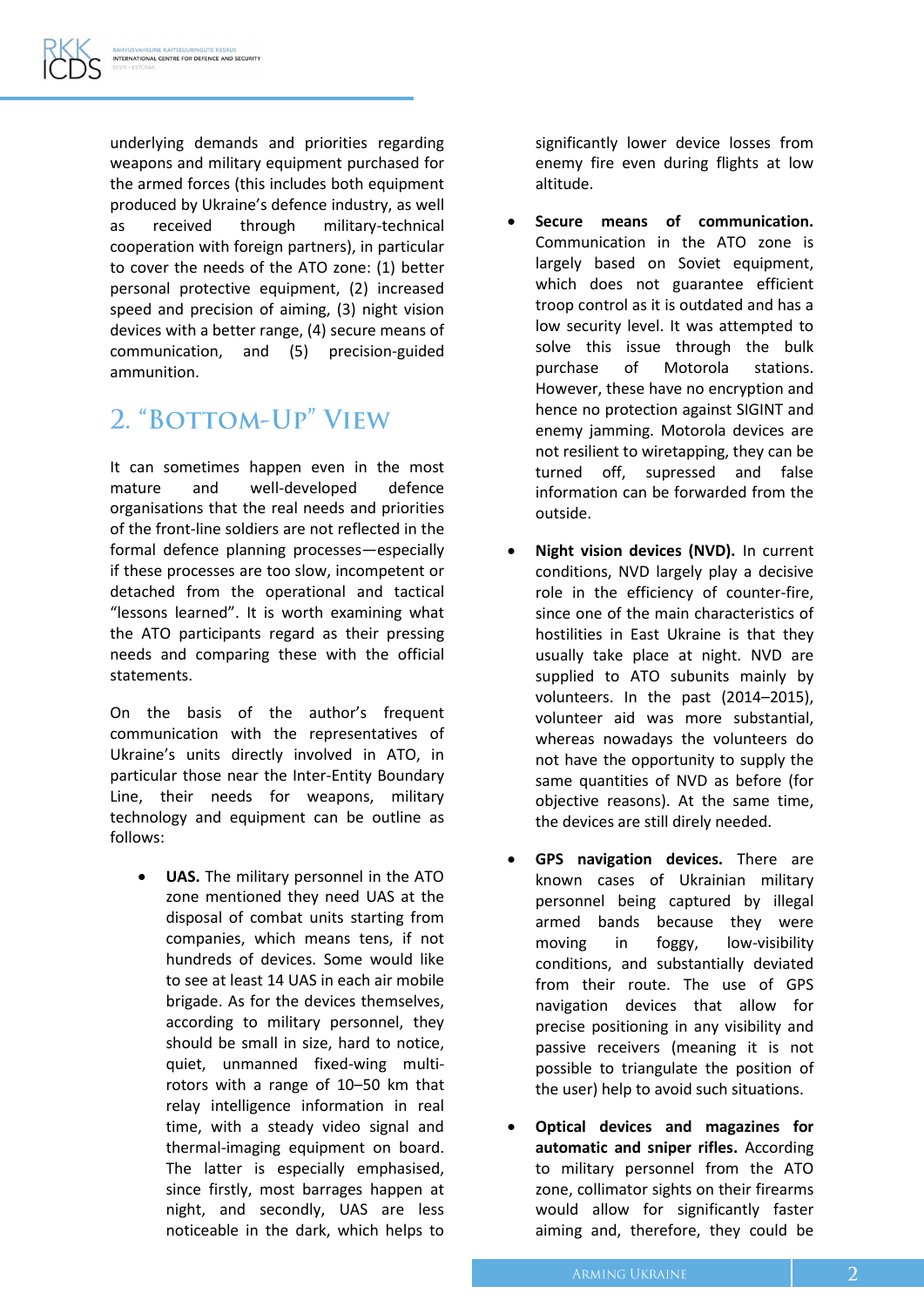underlying demands and priorities regarding weapons and military equipment purchased for the armed forces (this includes both equipment produced by Ukraine's defence industry, as well as received through military-technical cooperation with foreign partners), in particular to cover the needs of the ATO zone: (1) better personal protective equipment, (2) increased speed and precision of aiming, (3) night vision devices with a better range, (4) secure means of communication, and (5) precision-guided ammunition.

#### 2. "BOTTOM-UP" VIEW

It can sometimes happen even in the most mature and well-developed defence organisations that the real needs and priorities of the front-line soldiers are not reflected in the formal defence planning processes—especially if these processes are too slow, incompetent or detached from the operational and tactical "lessons learned". It is worth examining what the ATO participants regard as their pressing needs and comparing these with the official statements.

On the basis of the author's frequent communication with the representatives of Ukraine's units directly involved in ATO, in particular those near the Inter-Entity Boundary Line, their needs for weapons, military technology and equipment can be outline as follows:

 **UAS.** The military personnel in the ATO zone mentioned they need UAS at the disposal of combat units starting from companies, which means tens, if not hundreds of devices. Some would like to see at least 14 UAS in each air mobile brigade. As for the devices themselves, according to military personnel, they should be small in size, hard to notice, quiet, unmanned fixed-wing multirotors with a range of 10–50 km that relay intelligence information in real time, with a steady video signal and thermal-imaging equipment on board. The latter is especially emphasised, since firstly, most barrages happen at night, and secondly, UAS are less noticeable in the dark, which helps to significantly lower device losses from enemy fire even during flights at low altitude.

- **Secure means of communication.** Communication in the ATO zone is largely based on Soviet equipment, which does not guarantee efficient troop control as it is outdated and has a low security level. It was attempted to solve this issue through the bulk purchase of Motorola stations. However, these have no encryption and hence no protection against SIGINT and enemy jamming. Motorola devices are not resilient to wiretapping, they can be turned off, supressed and false information can be forwarded from the outside.
- **Night vision devices (NVD).** In current conditions, NVD largely play a decisive role in the efficiency of counter-fire, since one of the main characteristics of hostilities in East Ukraine is that they usually take place at night. NVD are supplied to ATO subunits mainly by volunteers. In the past (2014–2015), volunteer aid was more substantial, whereas nowadays the volunteers do not have the opportunity to supply the same quantities of NVD as before (for objective reasons). At the same time, the devices are still direly needed.
- **GPS navigation devices.** There are known cases of Ukrainian military personnel being captured by illegal armed bands because they were moving in foggy, low-visibility conditions, and substantially deviated from their route. The use of GPS navigation devices that allow for precise positioning in any visibility and passive receivers (meaning it is not possible to triangulate the position of the user) help to avoid such situations.
- **Optical devices and magazines for automatic and sniper rifles.** According to military personnel from the ATO zone, collimator sights on their firearms would allow for significantly faster aiming and, therefore, they could be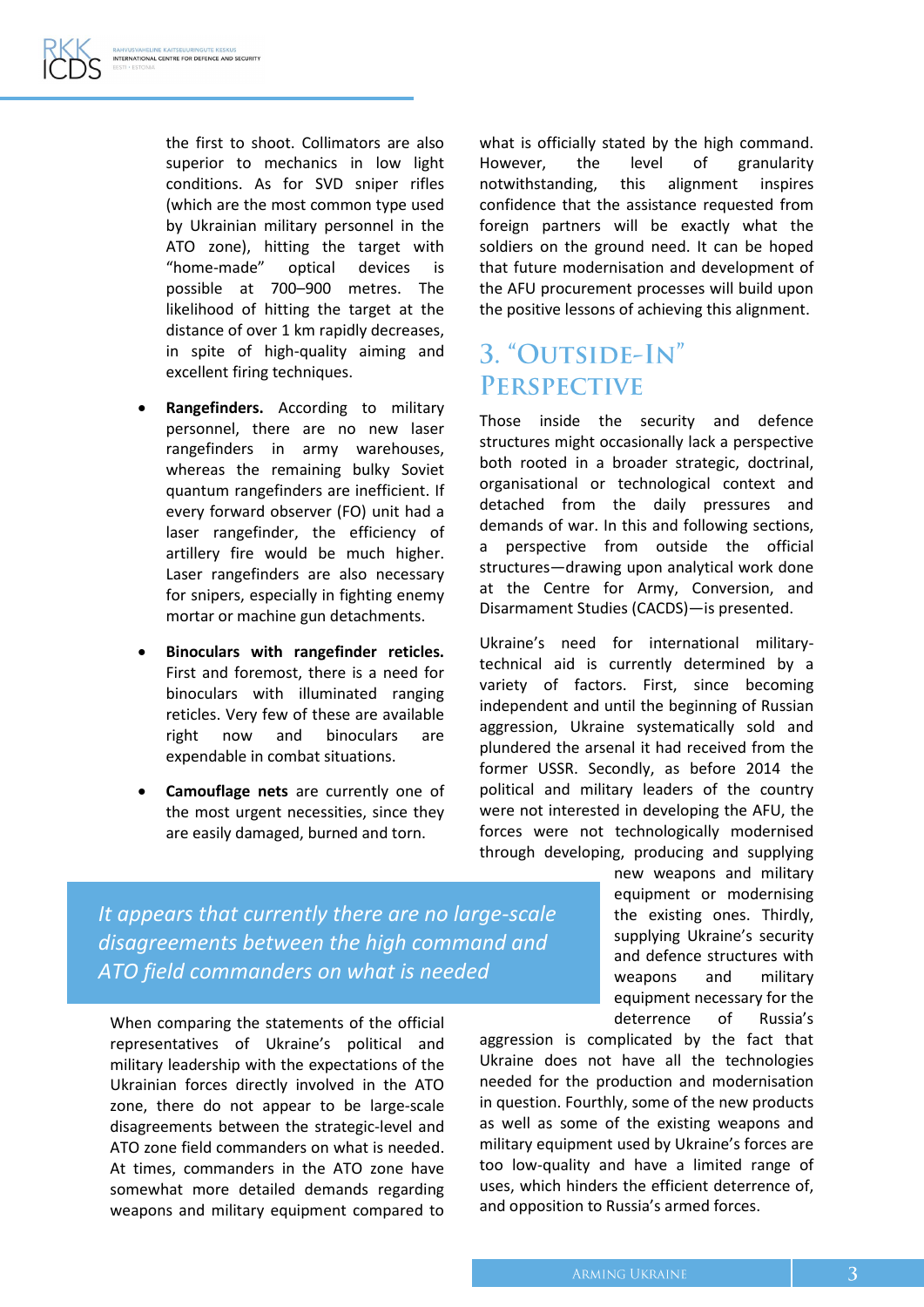the first to shoot. Collimators are also superior to mechanics in low light conditions. As for SVD sniper rifles (which are the most common type used by Ukrainian military personnel in the ATO zone), hitting the target with "home-made" optical devices is possible at 700–900 metres. The likelihood of hitting the target at the distance of over 1 km rapidly decreases, in spite of high-quality aiming and excellent firing techniques.

- **Rangefinders.** According to military personnel, there are no new laser rangefinders in army warehouses, whereas the remaining bulky Soviet quantum rangefinders are inefficient. If every forward observer (FO) unit had a laser rangefinder, the efficiency of artillery fire would be much higher. Laser rangefinders are also necessary for snipers, especially in fighting enemy mortar or machine gun detachments.
- **Binoculars with rangefinder reticles.** First and foremost, there is a need for binoculars with illuminated ranging reticles. Very few of these are available right now and binoculars are expendable in combat situations.
- **Camouflage nets** are currently one of the most urgent necessities, since they are easily damaged, burned and torn.

what is officially stated by the high command. However, the level of granularity notwithstanding, this alignment inspires confidence that the assistance requested from foreign partners will be exactly what the soldiers on the ground need. It can be hoped that future modernisation and development of the AFU procurement processes will build upon the positive lessons of achieving this alignment.

#### 3. "OUTSIDE-IN" **PERSPECTIVE**

Those inside the security and defence structures might occasionally lack a perspective both rooted in a broader strategic, doctrinal, organisational or technological context and detached from the daily pressures and demands of war. In this and following sections, a perspective from outside the official structures—drawing upon analytical work done at the Centre for Army, Conversion, and Disarmament Studies (CACDS)—is presented.

Ukraine's need for international militarytechnical aid is currently determined by a variety of factors. First, since becoming independent and until the beginning of Russian aggression, Ukraine systematically sold and plundered the arsenal it had received from the former USSR. Secondly, as before 2014 the political and military leaders of the country were not interested in developing the AFU, the forces were not technologically modernised through developing, producing and supplying

> new weapons and military equipment or modernising the existing ones. Thirdly, supplying Ukraine's security and defence structures with weapons and military equipment necessary for the deterrence of Russia's

aggression is complicated by the fact that Ukraine does not have all the technologies needed for the production and modernisation in question. Fourthly, some of the new products as well as some of the existing weapons and military equipment used by Ukraine's forces are too low-quality and have a limited range of uses, which hinders the efficient deterrence of, and opposition to Russia's armed forces.

*It appears that currently there are no large-scale disagreements between the high command and ATO field commanders on what is needed*

When comparing the statements of the official representatives of Ukraine's political and military leadership with the expectations of the Ukrainian forces directly involved in the ATO zone, there do not appear to be large-scale disagreements between the strategic-level and ATO zone field commanders on what is needed. At times, commanders in the ATO zone have somewhat more detailed demands regarding weapons and military equipment compared to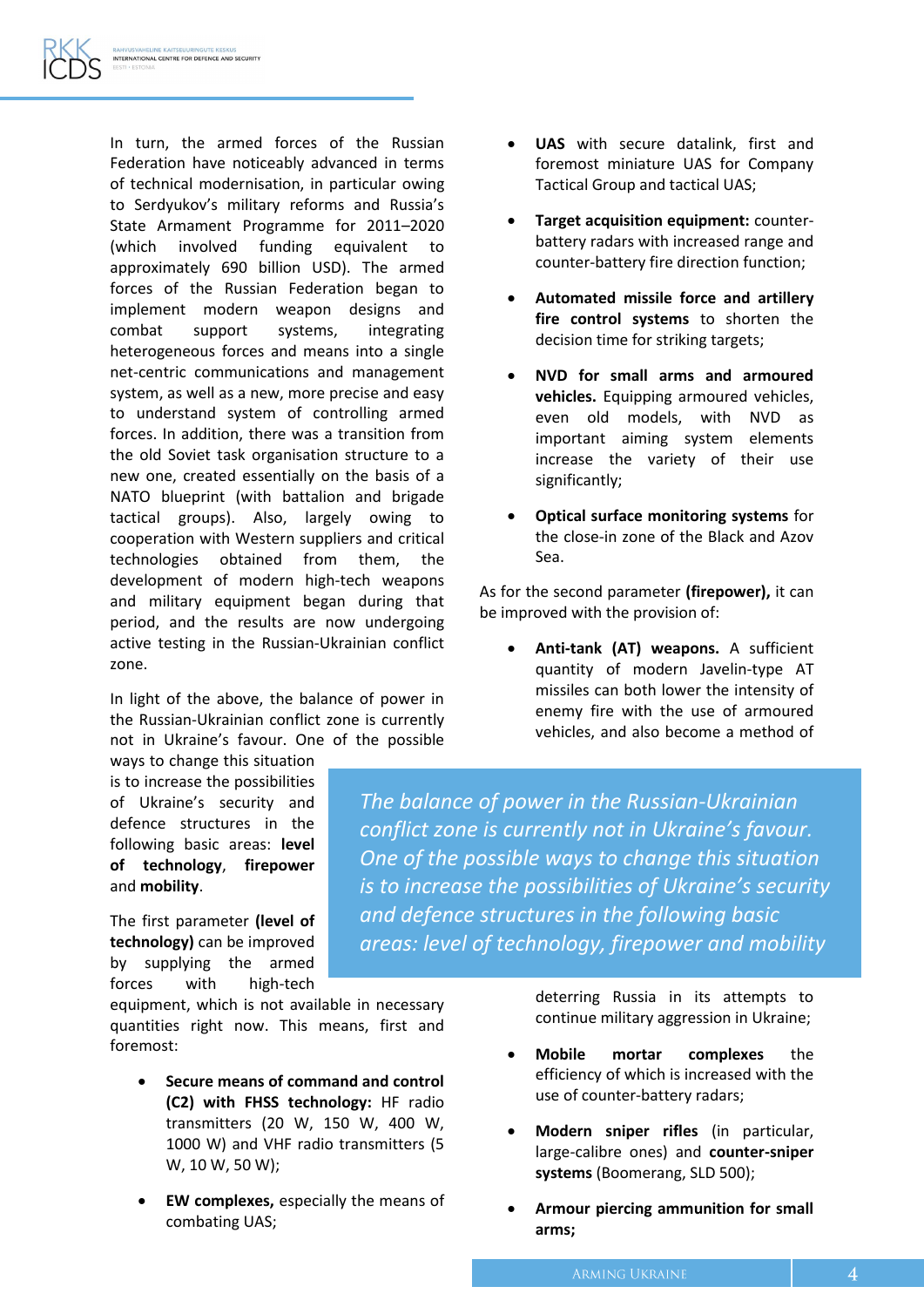In turn, the armed forces of the Russian Federation have noticeably advanced in terms of technical modernisation, in particular owing to Serdyukov's military reforms and Russia's State Armament Programme for 2011–2020 (which involved funding equivalent to approximately 690 billion USD). The armed forces of the Russian Federation began to implement modern weapon designs and combat support systems, integrating heterogeneous forces and means into a single net-centric communications and management system, as well as a new, more precise and easy to understand system of controlling armed forces. In addition, there was a transition from the old Soviet task organisation structure to a new one, created essentially on the basis of a NATO blueprint (with battalion and brigade tactical groups). Also, largely owing to cooperation with Western suppliers and critical technologies obtained from them, the development of modern high-tech weapons and military equipment began during that period, and the results are now undergoing active testing in the Russian-Ukrainian conflict zone.

In light of the above, the balance of power in the Russian-Ukrainian conflict zone is currently not in Ukraine's favour. One of the possible

ways to change this situation is to increase the possibilities of Ukraine's security and defence structures in the following basic areas: **level of technology**, **firepower** and **mobility**.

The first parameter **(level of technology)** can be improved by supplying the armed forces with high-tech

equipment, which is not available in necessary quantities right now. This means, first and foremost:

- **Secure means of command and control (C2) with FHSS technology:** HF radio transmitters (20 W, 150 W, 400 W, 1000 W) and VHF radio transmitters (5 W, 10 W, 50 W);
- **EW complexes,** especially the means of combating UAS;
- **UAS** with secure datalink, first and foremost miniature UAS for Company Tactical Group and tactical UAS;
- **Target acquisition equipment:** counterbattery radars with increased range and counter-battery fire direction function;
- **Automated missile force and artillery fire control systems** to shorten the decision time for striking targets;
- **NVD for small arms and armoured vehicles.** Equipping armoured vehicles, even old models, with NVD as important aiming system elements increase the variety of their use significantly;
- **Optical surface monitoring systems** for the close-in zone of the Black and Azov Sea.

As for the second parameter **(firepower),** it can be improved with the provision of:

 **Anti-tank (AT) weapons.** A sufficient quantity of modern Javelin-type AT missiles can both lower the intensity of enemy fire with the use of armoured vehicles, and also become a method of

*The balance of power in the Russian-Ukrainian conflict zone is currently not in Ukraine's favour. One of the possible ways to change this situation is to increase the possibilities of Ukraine's security and defence structures in the following basic areas: level of technology, firepower and mobility*

> deterring Russia in its attempts to continue military aggression in Ukraine;

- **Mobile mortar complexes** the efficiency of which is increased with the use of counter-battery radars;
- **Modern sniper rifles** (in particular, large-calibre ones) and **counter-sniper systems** (Boomerang, SLD 500);
- **Armour piercing ammunition for small arms;**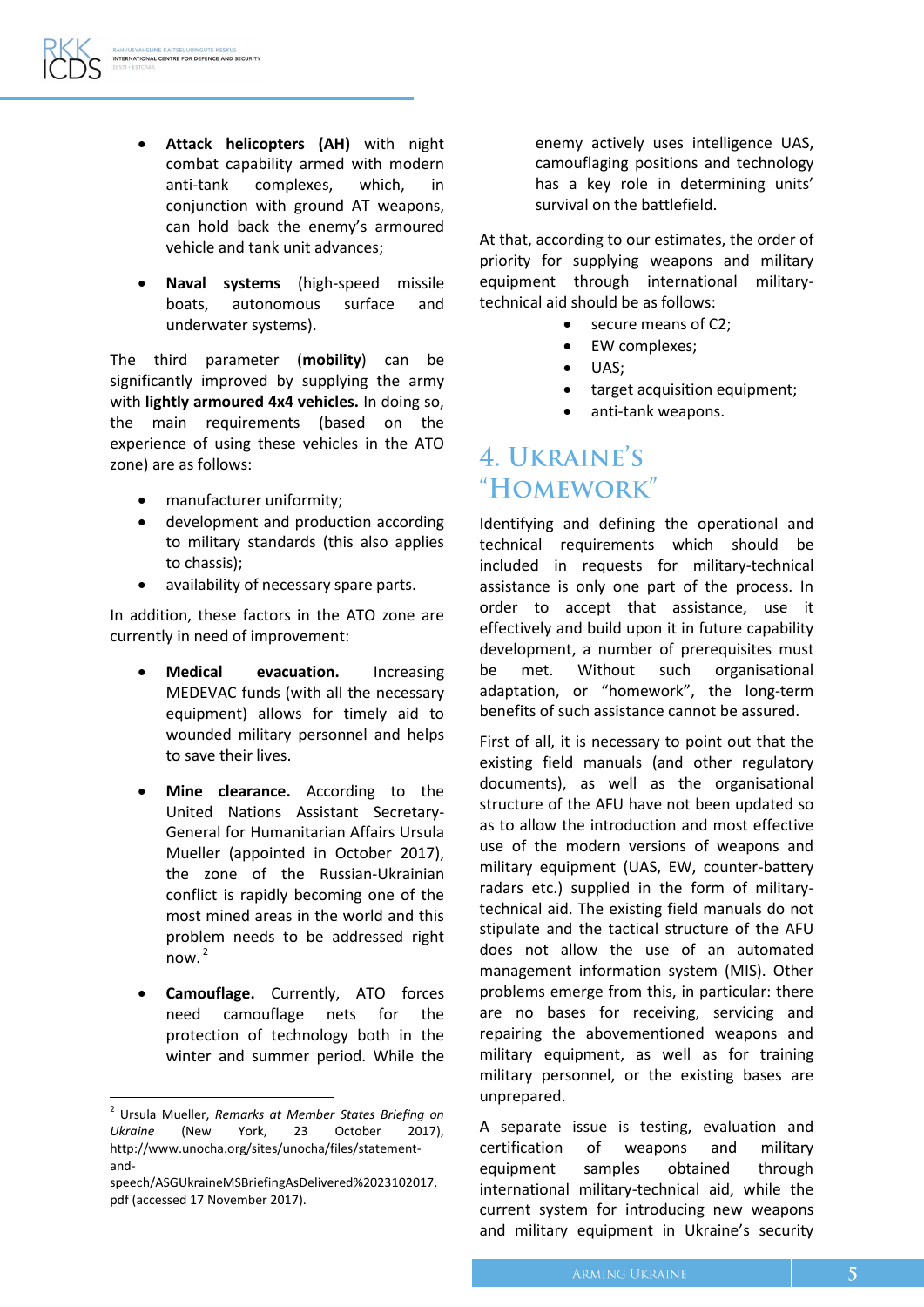- **Attack helicopters (AH)** with night combat capability armed with modern anti-tank complexes, which, in conjunction with ground AT weapons, can hold back the enemy's armoured vehicle and tank unit advances;
- **Naval systems** (high-speed missile boats, autonomous surface and underwater systems).

The third parameter (**mobility**) can be significantly improved by supplying the army with **lightly armoured 4x4 vehicles.** In doing so, the main requirements (based on the experience of using these vehicles in the ATO zone) are as follows:

- manufacturer uniformity;
- development and production according to military standards (this also applies to chassis);
- availability of necessary spare parts.

In addition, these factors in the ATO zone are currently in need of improvement:

- **Medical evacuation.** Increasing MEDEVAC funds (with all the necessary equipment) allows for timely aid to wounded military personnel and helps to save their lives.
- **Mine clearance.** According to the United Nations Assistant Secretary-General for Humanitarian Affairs Ursula Mueller (appointed in October 2017), the zone of the Russian-Ukrainian conflict is rapidly becoming one of the most mined areas in the world and this problem needs to be addressed right now. $<sup>2</sup>$ </sup>
- **Camouflage.** Currently, ATO forces need camouflage nets for the protection of technology both in the winter and summer period. While the

 $\overline{a}$ 

enemy actively uses intelligence UAS, camouflaging positions and technology has a key role in determining units' survival on the battlefield.

At that, according to our estimates, the order of priority for supplying weapons and military equipment through international militarytechnical aid should be as follows:

- secure means of C2;
- EW complexes;
- UAS;
- target acquisition equipment;
- anti-tank weapons.

#### 4. UKRAINE'S "HOMEWORK"

Identifying and defining the operational and technical requirements which should be included in requests for military-technical assistance is only one part of the process. In order to accept that assistance, use it effectively and build upon it in future capability development, a number of prerequisites must be met. Without such organisational adaptation, or "homework", the long-term benefits of such assistance cannot be assured.

First of all, it is necessary to point out that the existing field manuals (and other regulatory documents), as well as the organisational structure of the AFU have not been updated so as to allow the introduction and most effective use of the modern versions of weapons and military equipment (UAS, EW, counter-battery radars etc.) supplied in the form of militarytechnical aid. The existing field manuals do not stipulate and the tactical structure of the AFU does not allow the use of an automated management information system (MIS). Other problems emerge from this, in particular: there are no bases for receiving, servicing and repairing the abovementioned weapons and military equipment, as well as for training military personnel, or the existing bases are unprepared.

A separate issue is testing, evaluation and certification of weapons and military equipment samples obtained through international military-technical aid, while the current system for introducing new weapons and military equipment in Ukraine's security

<sup>2</sup> Ursula Mueller, *Remarks at Member States Briefing on Ukraine* (New York, 23 October 2017), http://www.unocha.org/sites/unocha/files/statementand-

speech/ASGUkraineMSBriefingAsDelivered%2023102017. pdf (accessed 17 November 2017).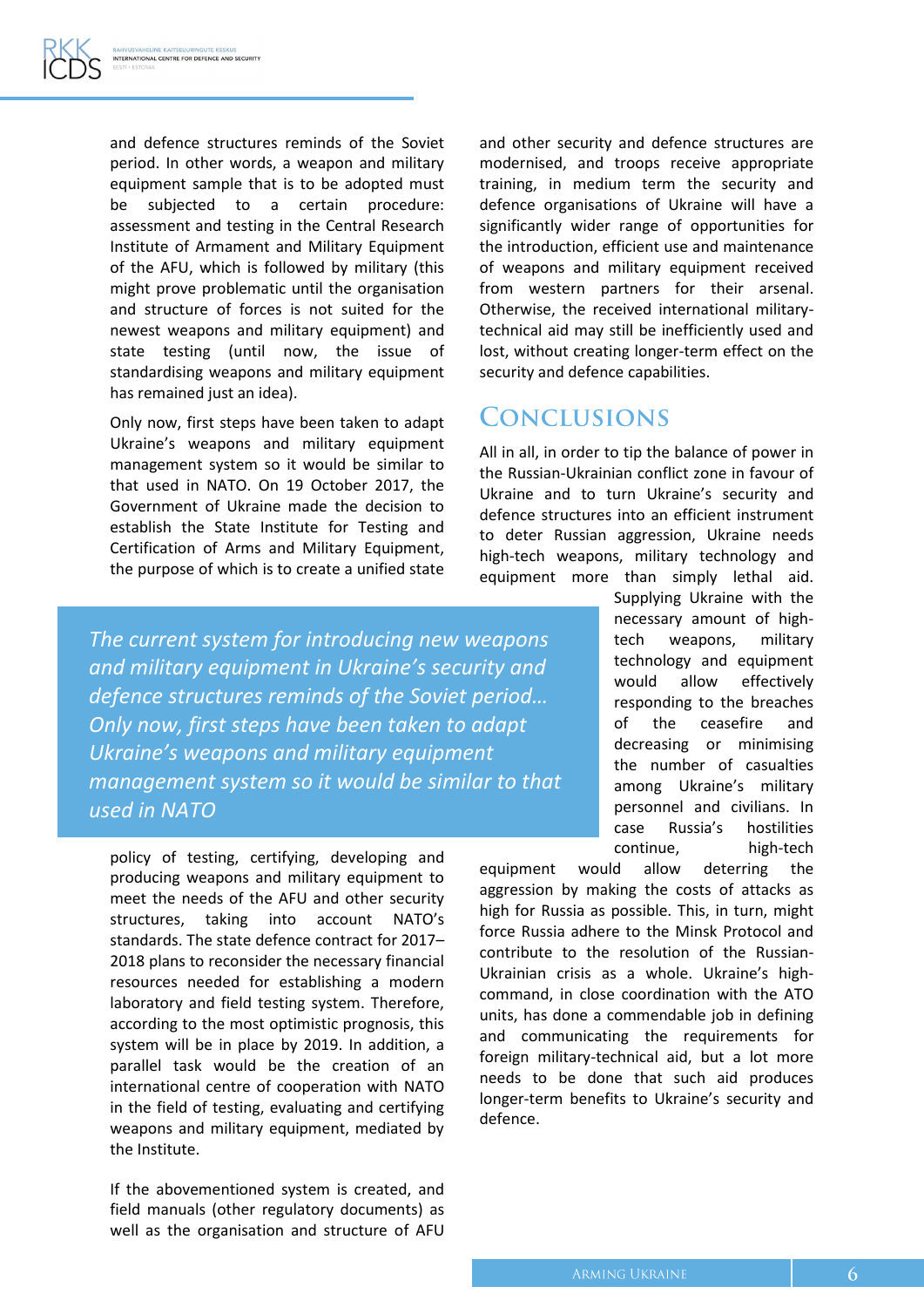and defence structures reminds of the Soviet period. In other words, a weapon and military equipment sample that is to be adopted must be subjected to a certain procedure: assessment and testing in the Central Research Institute of Armament and Military Equipment of the AFU, which is followed by military (this might prove problematic until the organisation and structure of forces is not suited for the newest weapons and military equipment) and state testing (until now, the issue of standardising weapons and military equipment has remained just an idea).

Only now, first steps have been taken to adapt Ukraine's weapons and military equipment management system so it would be similar to that used in NATO. On 19 October 2017, the Government of Ukraine made the decision to establish the State Institute for Testing and Certification of Arms and Military Equipment, the purpose of which is to create a unified state

and other security and defence structures are modernised, and troops receive appropriate training, in medium term the security and defence organisations of Ukraine will have a significantly wider range of opportunities for the introduction, efficient use and maintenance of weapons and military equipment received from western partners for their arsenal. Otherwise, the received international militarytechnical aid may still be inefficiently used and lost, without creating longer-term effect on the security and defence capabilities.

#### **CONCLUSIONS**

All in all, in order to tip the balance of power in the Russian-Ukrainian conflict zone in favour of Ukraine and to turn Ukraine's security and defence structures into an efficient instrument to deter Russian aggression, Ukraine needs high-tech weapons, military technology and equipment more than simply lethal aid.

*The current system for introducing new weapons and military equipment in Ukraine's security and defence structures reminds of the Soviet period… Only now, first steps have been taken to adapt Ukraine's weapons and military equipment management system so it would be similar to that used in NATO*

policy of testing, certifying, developing and producing weapons and military equipment to meet the needs of the AFU and other security structures, taking into account NATO's standards. The state defence contract for 2017– 2018 plans to reconsider the necessary financial resources needed for establishing a modern laboratory and field testing system. Therefore, according to the most optimistic prognosis, this system will be in place by 2019. In addition, a parallel task would be the creation of an international centre of cooperation with NATO in the field of testing, evaluating and certifying weapons and military equipment, mediated by the Institute.

If the abovementioned system is created, and field manuals (other regulatory documents) as well as the organisation and structure of AFU

Supplying Ukraine with the necessary amount of hightech weapons, military technology and equipment would allow effectively responding to the breaches of the ceasefire and decreasing or minimising the number of casualties among Ukraine's military personnel and civilians. In case Russia's hostilities continue, high-tech

equipment would allow deterring the aggression by making the costs of attacks as high for Russia as possible. This, in turn, might force Russia adhere to the Minsk Protocol and contribute to the resolution of the Russian-Ukrainian crisis as a whole. Ukraine's highcommand, in close coordination with the ATO units, has done a commendable job in defining and communicating the requirements for foreign military-technical aid, but a lot more needs to be done that such aid produces longer-term benefits to Ukraine's security and defence.